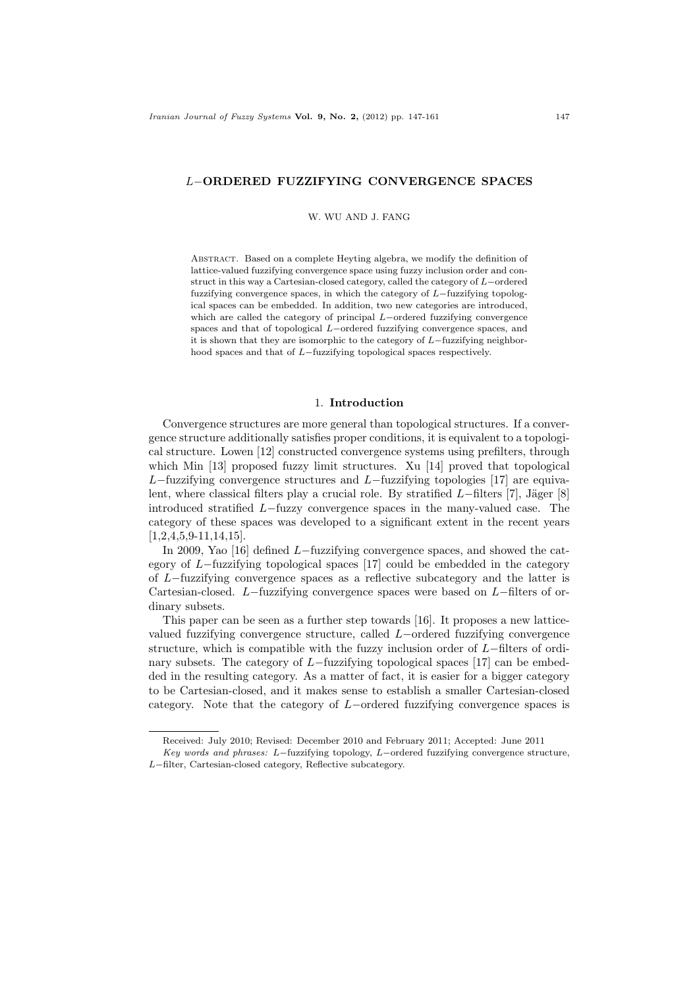## L−ORDERED FUZZIFYING CONVERGENCE SPACES

W. WU AND J. FANG

Abstract. Based on a complete Heyting algebra, we modify the definition of lattice-valued fuzzifying convergence space using fuzzy inclusion order and construct in this way a Cartesian-closed category, called the category of L−ordered fuzzifying convergence spaces, in which the category of L−fuzzifying topological spaces can be embedded. In addition, two new categories are introduced, which are called the category of principal L−ordered fuzzifying convergence spaces and that of topological L−ordered fuzzifying convergence spaces, and it is shown that they are isomorphic to the category of L−fuzzifying neighborhood spaces and that of L−fuzzifying topological spaces respectively.

#### 1. Introduction

Convergence structures are more general than topological structures. If a convergence structure additionally satisfies proper conditions, it is equivalent to a topological structure. Lowen [12] constructed convergence systems using prefilters, through which Min [13] proposed fuzzy limit structures. Xu [14] proved that topological L−fuzzifying convergence structures and L−fuzzifying topologies [17] are equivalent, where classical filters play a crucial role. By stratified  $L$ −filters [7], Jäger [8] introduced stratified L−fuzzy convergence spaces in the many-valued case. The category of these spaces was developed to a significant extent in the recent years [1,2,4,5,9-11,14,15].

In 2009, Yao [16] defined L−fuzzifying convergence spaces, and showed the category of L−fuzzifying topological spaces [17] could be embedded in the category of L−fuzzifying convergence spaces as a reflective subcategory and the latter is Cartesian-closed. L−fuzzifying convergence spaces were based on L−filters of ordinary subsets.

This paper can be seen as a further step towards [16]. It proposes a new latticevalued fuzzifying convergence structure, called L−ordered fuzzifying convergence structure, which is compatible with the fuzzy inclusion order of L−filters of ordinary subsets. The category of L−fuzzifying topological spaces [17] can be embedded in the resulting category. As a matter of fact, it is easier for a bigger category to be Cartesian-closed, and it makes sense to establish a smaller Cartesian-closed category. Note that the category of L−ordered fuzzifying convergence spaces is

Received: July 2010; Revised: December 2010 and February 2011; Accepted: June 2011

Key words and phrases: L−fuzzifying topology, L−ordered fuzzifying convergence structure, L−filter, Cartesian-closed category, Reflective subcategory.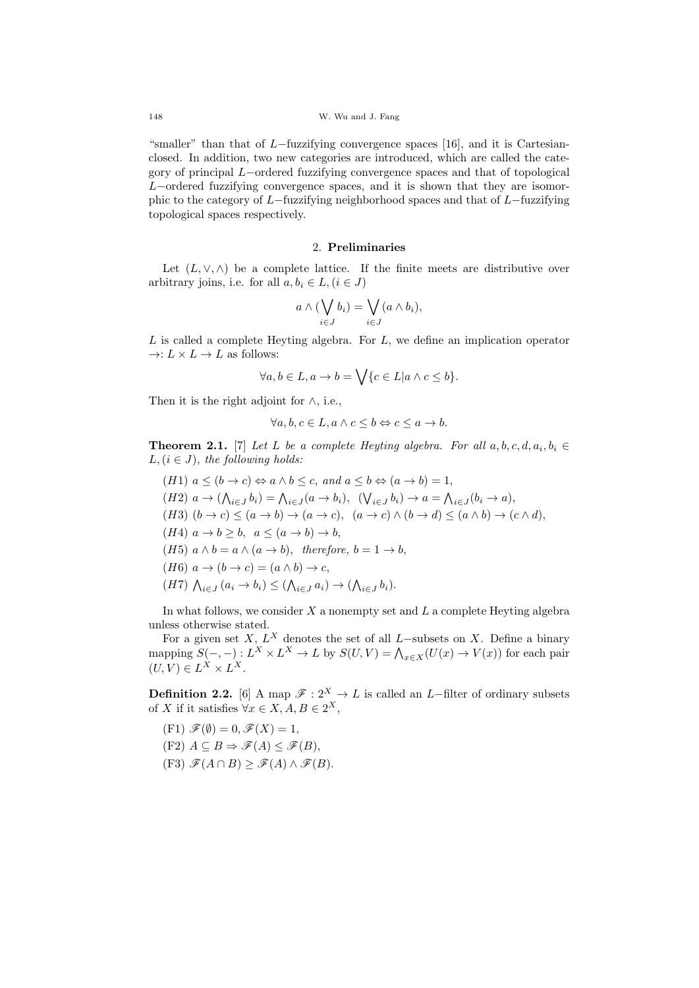"smaller" than that of  $L$ -fuzzifying convergence spaces [16], and it is Cartesianclosed. In addition, two new categories are introduced, which are called the category of principal L−ordered fuzzifying convergence spaces and that of topological L−ordered fuzzifying convergence spaces, and it is shown that they are isomorphic to the category of L−fuzzifying neighborhood spaces and that of L−fuzzifying topological spaces respectively.

## 2. Preliminaries

Let  $(L, \vee, \wedge)$  be a complete lattice. If the finite meets are distributive over arbitrary joins, i.e. for all  $a, b_i \in L, (i \in J)$ 

$$
a \wedge (\bigvee_{i \in J} b_i) = \bigvee_{i \in J} (a \wedge b_i),
$$

 $L$  is called a complete Heyting algebra. For  $L$ , we define an implication operator  $\rightarrow: L \times L \rightarrow L$  as follows:

$$
\forall a, b \in L, a \to b = \bigvee \{c \in L | a \land c \leq b\}.
$$

Then it is the right adjoint for  $\land$ , i.e.,

$$
\forall a, b, c \in L, a \land c \leq b \Leftrightarrow c \leq a \to b.
$$

**Theorem 2.1.** [7] Let L be a complete Heyting algebra. For all  $a, b, c, d, a_i, b_i \in$  $L, (i \in J)$ , the following holds:

(H1) 
$$
a \le (b \to c) \Leftrightarrow a \land b \le c
$$
, and  $a \le b \Leftrightarrow (a \to b) = 1$ ,  
\n(H2)  $a \to (\bigwedge_{i \in J} b_i) = \bigwedge_{i \in J} (a \to b_i)$ ,  $(\bigvee_{i \in J} b_i) \to a = \bigwedge_{i \in J} (b_i \to a)$ ,  
\n(H3)  $(b \to c) \le (a \to b) \to (a \to c)$ ,  $(a \to c) \land (b \to d) \le (a \land b) \to (c \land d)$ ,  
\n(H4)  $a \to b \ge b$ ,  $a \le (a \to b) \to b$ ,  
\n(H5)  $a \land b = a \land (a \to b)$ , therefore,  $b = 1 \to b$ ,  
\n(H6)  $a \to (b \to c) = (a \land b) \to c$ ,  
\n(H7)  $\bigwedge_{i \in J} (a_i \to b_i) \le (\bigwedge_{i \in J} a_i) \to (\bigwedge_{i \in J} b_i)$ .

In what follows, we consider  $X$  a nonempty set and  $L$  a complete Heyting algebra unless otherwise stated.

For a given set X,  $L^X$  denotes the set of all L-subsets on X. Define a binary mapping  $S(-, -): L^X \times L^X \to L$  by  $S(U, V) = \bigwedge_{x \in X} (U(x) \to V(x))$  for each pair  $(U, V) \in L^X \times L^X.$ 

**Definition 2.2.** [6] A map  $\mathscr{F}: 2^X \to L$  is called an L-filter of ordinary subsets of X if it satisfies  $\forall x \in X, A, B \in 2^X$ ,

- $(F1) \mathscr{F}(\emptyset) = 0, \mathscr{F}(X) = 1,$
- $(F2)$   $A \subseteq B \Rightarrow \mathscr{F}(A) \leq \mathscr{F}(B)$ ,
- $(F3)$   $\mathscr{F}(A \cap B)$  >  $\mathscr{F}(A) \wedge \mathscr{F}(B)$ .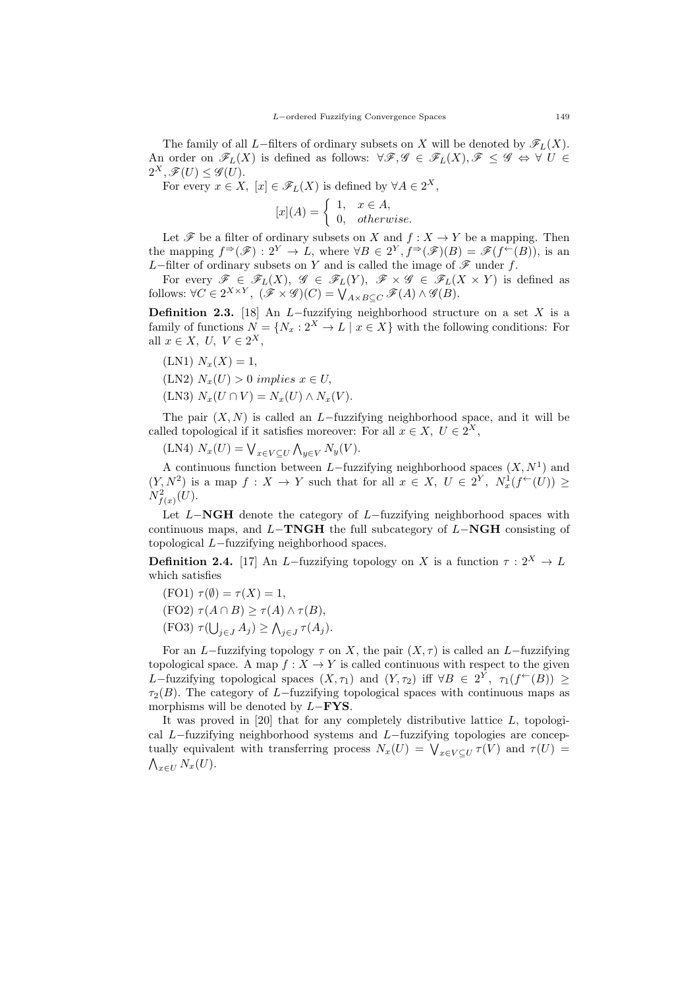The family of all L−filters of ordinary subsets on X will be denoted by  $\mathscr{F}_L(X)$ . An order on  $\mathscr{F}_L(X)$  is defined as follows:  $\forall \mathscr{F}, \mathscr{G} \in \mathscr{F}_L(X), \mathscr{F} \leq \mathscr{G} \Leftrightarrow \forall U \in$  $2^X, \mathscr{F}(U) \leq \mathscr{G}(U).$ 

For every  $x \in X$ ,  $[x] \in \mathscr{F}_L(X)$  is defined by  $\forall A \in 2^X$ ,

$$
[x](A) = \begin{cases} 1, & x \in A, \\ 0, & otherwise. \end{cases}
$$

Let  $\mathscr F$  be a filter of ordinary subsets on X and  $f : X \to Y$  be a mapping. Then the mapping  $f^{\Rightarrow}(\mathscr{F}) : 2^Y \to L$ , where  $\forall B \in 2^Y, f^{\Rightarrow}(\mathscr{F})(B) = \mathscr{F}(f^{\leftarrow}(B))$ , is an L−filter of ordinary subsets on Y and is called the image of  $\mathscr F$  under f.

For every  $\mathscr{F} \in \mathscr{F}_L(X)$ ,  $\mathscr{G} \in \mathscr{F}_L(Y)$ ,  $\mathscr{F} \times \mathscr{G} \in \mathscr{F}_L(X \times Y)$  is defined as follows:  $\forall C \in 2^{X \times Y}, (\mathscr{F} \times \mathscr{G})(C) = \bigvee_{A \times B \subseteq C} \mathscr{F}(A) \wedge \mathscr{G}(B).$ 

**Definition 2.3.** [18] An L–fuzzifying neighborhood structure on a set X is a family of functions  $N = \{N_x : 2^X \to L \mid x \in X\}$  with the following conditions: For all  $x \in X$ ,  $U$ ,  $V \in 2^X$ ,

 $(LN1)$   $N_x(X) = 1$ ,

(LN2)  $N_x(U) > 0$  implies  $x \in U$ ,

(LN3)  $N_x(U \cap V) = N_x(U) \wedge N_x(V)$ .

The pair  $(X, N)$  is called an L−fuzzifying neighborhood space, and it will be called topological if it satisfies moreover: For all  $x \in X$ ,  $U \in 2^X$ ,

(LN4)  $N_x(U) = \bigvee_{x \in V \subseteq U} \bigwedge_{y \in V} N_y(V)$ .

A continuous function between L–fuzzifying neighborhood spaces  $(X, N<sup>1</sup>)$  and  $(Y, N^2)$  is a map  $f: X \to Y$  such that for all  $x \in X$ ,  $U \in 2^Y$ ,  $N_x^1(f^{\leftarrow}(U)) \geq$  $N^2_{f(x)}(U)$ .

Let  $L-\mathbf{NGH}$  denote the category of  $L-\text{fuzzifying}}$  neighborhood spaces with continuous maps, and  $L-TNGH$  the full subcategory of  $L-NGH$  consisting of topological L−fuzzifying neighborhood spaces.

**Definition 2.4.** [17] An L–fuzzifying topology on X is a function  $\tau : 2^X \to L$ which satisfies

$$
(FO1)\ \tau(\emptyset) = \tau(X) = 1,
$$

(FO2)  $\tau(A \cap B) \geq \tau(A) \wedge \tau(B)$ ,

(FO3) 
$$
\tau(\bigcup_{j\in J} A_j) \geq \bigwedge_{j\in J} \tau(A_j).
$$

For an L−fuzzifying topology  $\tau$  on X, the pair  $(X, \tau)$  is called an L−fuzzifying topological space. A map  $f: X \to Y$  is called continuous with respect to the given L-fuzzifying topological spaces  $(X, \tau_1)$  and  $(Y, \tau_2)$  iff  $\forall B \in 2^Y$ ,  $\tau_1(f^{\leftarrow}(B)) \ge$  $\tau_2(B)$ . The category of L−fuzzifying topological spaces with continuous maps as morphisms will be denoted by  $L-\text{FYS}$ .

It was proved in  $[20]$  that for any completely distributive lattice L, topological L−fuzzifying neighborhood systems and L−fuzzifying topologies are conceptually equivalent with transferring process  $N_x(U) = \bigvee_{x \in V \subseteq U} \tau(V)$  and  $\tau(U) =$  $\bigwedge_{x\in U}N_x(U).$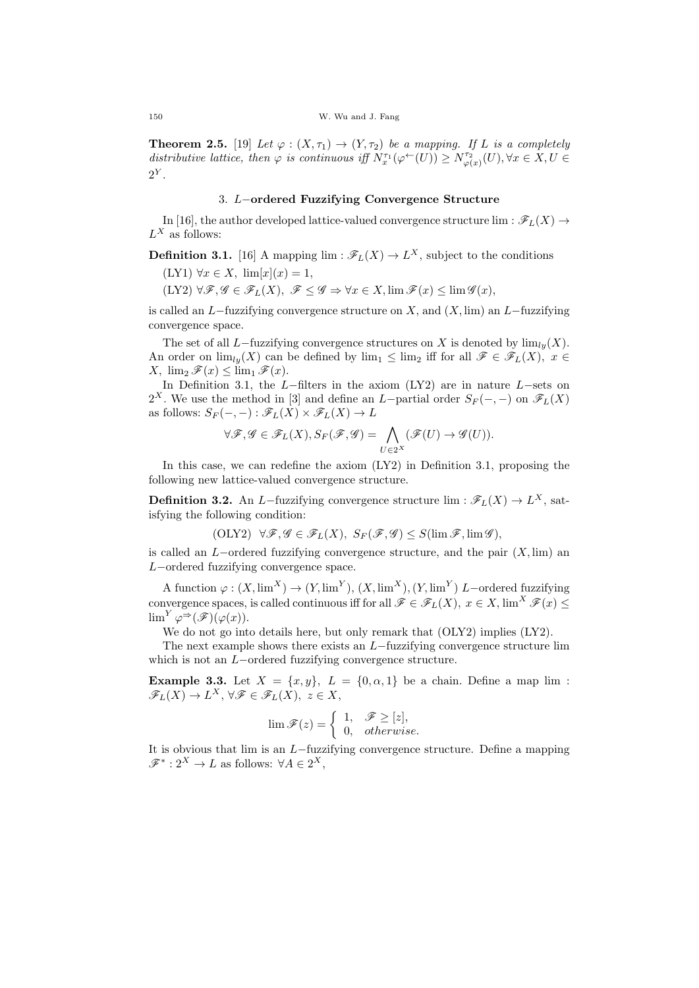**Theorem 2.5.** [19] Let  $\varphi : (X, \tau_1) \to (Y, \tau_2)$  be a mapping. If L is a completely distributive lattice, then  $\varphi$  is continuous iff  $N_{x}^{\tau_1}(\varphi^{\leftarrow}(U)) \geq N_{\varphi(x)}^{\tau_2}(U)$ ,  $\forall x \in X, U \in$  $2^Y$ .

# 3. L−ordered Fuzzifying Convergence Structure

In [16], the author developed lattice-valued convergence structure lim :  $\mathscr{F}_L(X) \rightarrow$  $L^X$  as follows:

**Definition 3.1.** [16] A mapping  $\lim : \mathscr{F}_L(X) \to L^X$ , subject to the conditions  $(LY1) \; \forall x \in X, \; \lim[x](x) = 1,$ 

 $(LY2) \,\forall \mathscr{F}, \mathscr{G} \in \mathscr{F}_L(X), \mathscr{F} \leq \mathscr{G} \Rightarrow \forall x \in X, \lim \mathscr{F}(x) \leq \lim \mathscr{G}(x),$ 

is called an L−fuzzifying convergence structure on X, and  $(X, \text{lim})$  an L−fuzzifying convergence space.

The set of all L−fuzzifying convergence structures on X is denoted by  $\lim_{l} (X)$ . An order on  $\lim_{l} (X)$  can be defined by  $\lim_{l} \leq \lim_{l}$  iff for all  $\mathscr{F} \in \mathscr{F}_L(X)$ ,  $x \in$  $X$ ,  $\lim_{2} \mathscr{F}(x) \leq \lim_{1} \mathscr{F}(x)$ .

In Definition 3.1, the L−filters in the axiom (LY2) are in nature L−sets on 2<sup>X</sup>. We use the method in [3] and define an L-partial order  $S_F(-, -)$  on  $\mathscr{F}_L(X)$ as follows:  $S_F(-, -): \mathscr{F}_L(X) \times \mathscr{F}_L(X) \to L$ 

$$
\forall \mathscr{F}, \mathscr{G} \in \mathscr{F}_L(X), S_F(\mathscr{F}, \mathscr{G}) = \bigwedge_{U \in 2^X} (\mathscr{F}(U) \to \mathscr{G}(U)).
$$

In this case, we can redefine the axiom (LY2) in Definition 3.1, proposing the following new lattice-valued convergence structure.

**Definition 3.2.** An L-fuzzifying convergence structure  $\lim : \mathscr{F}_L(X) \to L^X$ , satisfying the following condition:

$$
(\text{OLY2}) \ \ \forall \mathscr{F}, \mathscr{G} \in \mathscr{F}_L(X), \ S_F(\mathscr{F}, \mathscr{G}) \le S(\lim \mathscr{F}, \lim \mathscr{G}),
$$

is called an L−ordered fuzzifying convergence structure, and the pair  $(X, \text{lim})$  and L−ordered fuzzifying convergence space.

A function  $\varphi: (X, \lim^X) \to (Y, \lim^Y), (X, \lim^X), (Y, \lim^Y)$  L-ordered fuzzifying convergence spaces, is called continuous iff for all  $\mathscr{F} \in \mathscr{F}_L(X)$ ,  $x \in X$ ,  $\lim^X \mathscr{F}(x) \leq$  $\lim^Y \varphi^{\Rightarrow}(\mathscr{F})(\varphi(x)).$ 

We do not go into details here, but only remark that  $(OLY2)$  implies  $(LY2)$ .

The next example shows there exists an L−fuzzifying convergence structure lim which is not an L−ordered fuzzifying convergence structure.

Example 3.3. Let  $X = \{x, y\}$ ,  $L = \{0, \alpha, 1\}$  be a chain. Define a map lim:  $\mathscr{F}_L(X) \to L^X, \,\forall \mathscr{F} \in \mathscr{F}_L(X), \, z \in X,$ 

$$
\lim \mathscr{F}(z) = \begin{cases} 1, & \mathscr{F} \ge [z], \\ 0, & otherwise. \end{cases}
$$

It is obvious that lim is an L−fuzzifying convergence structure. Define a mapping  $\mathscr{F}^* : 2^X \to L$  as follows:  $\forall A \in 2^X$ ,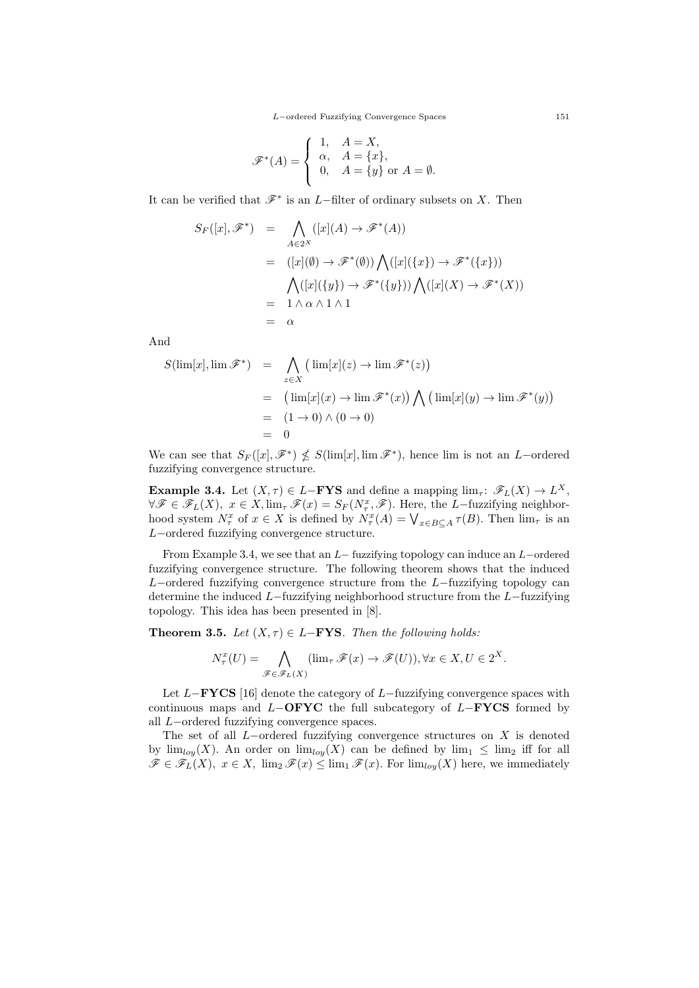$$
\mathscr{F}^*(A) = \begin{cases} 1, & A = X, \\ \alpha, & A = \{x\}, \\ 0, & A = \{y\} \text{ or } A = \emptyset. \end{cases}
$$

It can be verified that  $\mathscr{F}^*$  is an L–filter of ordinary subsets on X. Then

$$
S_F([x], \mathscr{F}^*) = \bigwedge_{A \in 2^X} ([x](A) \to \mathscr{F}^*(A))
$$
  
= 
$$
([x](\emptyset) \to \mathscr{F}^*(\emptyset)) \bigwedge ([x](\{x\}) \to \mathscr{F}^*(\{x\}))
$$
  
= 
$$
\bigwedge ([x](\{y\}) \to \mathscr{F}^*(\{y\})) \bigwedge ([x](X) \to \mathscr{F}^*(X))
$$
  
= 
$$
1 \wedge \alpha \wedge 1 \wedge 1
$$
  
= 
$$
\alpha
$$

And

$$
S(\lim[x], \lim \mathscr{F}^*) = \bigwedge_{z \in X} (\lim[x](z) \to \lim \mathscr{F}^*(z))
$$
  
= 
$$
(\lim[x](x) \to \lim \mathscr{F}^*(x)) \bigwedge (\lim[x](y) \to \lim \mathscr{F}^*(y))
$$
  
= 
$$
(1 \to 0) \land (0 \to 0)
$$
  
= 0

We can see that  $S_F([x], \mathscr{F}^*) \nleq S(\lim[x], \lim \mathscr{F}^*)$ , hence lim is not an L-ordered fuzzifying convergence structure.

**Example 3.4.** Let  $(X, \tau) \in L-\text{FYS}$  and define a mapping  $\lim_{\tau \to \infty} \mathscr{F}_L(X) \to L^X$ ,  $\forall \mathscr{F} \in \mathscr{F}_L(X), \ x \in X, \lim_{\tau} \mathscr{F}(x) = S_F(N_\tau^x, \mathscr{F}).$  Here, the L-fuzzifying neighborhood system  $N_{\tau}^x$  of  $x \in X$  is defined by  $N_{\tau}^x(A) = \bigvee_{x \in B \subseteq A} \tau(B)$ . Then  $\lim_{\tau}$  is an L−ordered fuzzifying convergence structure.

From Example 3.4, we see that an L− fuzzifying topology can induce an L−ordered fuzzifying convergence structure. The following theorem shows that the induced L−ordered fuzzifying convergence structure from the  $L$ −fuzzifying topology can determine the induced L−fuzzifying neighborhood structure from the L−fuzzifying topology. This idea has been presented in [8].

**Theorem 3.5.** Let  $(X, \tau) \in L-\text{FYS}$ . Then the following holds:

$$
N_{\tau}^{x}(U) = \bigwedge_{\mathscr{F}\in\mathscr{F}_{L}(X)} (\lim_{\tau} \mathscr{F}(x) \to \mathscr{F}(U)), \forall x \in X, U \in 2^{X}.
$$

Let  $L-\text{FYCS}$  [16] denote the category of  $L-\text{fuzzying}$  convergence spaces with continuous maps and  $L-\text{OFYC}$  the full subcategory of  $L-\text{FYCS}$  formed by all L−ordered fuzzifying convergence spaces.

The set of all  $L$ -ordered fuzzifying convergence structures on  $X$  is denoted by  $\lim_{\log X}$ . An order on  $\lim_{\log X}$  can be defined by  $\lim_{1} \leq \lim_{2}$  iff for all  $\mathscr{F} \in \mathscr{F}_L(X), x \in X, \lim_{2} \mathscr{F}(x) \leq \lim_{1} \mathscr{F}(x)$ . For  $\lim_{\text{low}}(X)$  here, we immediately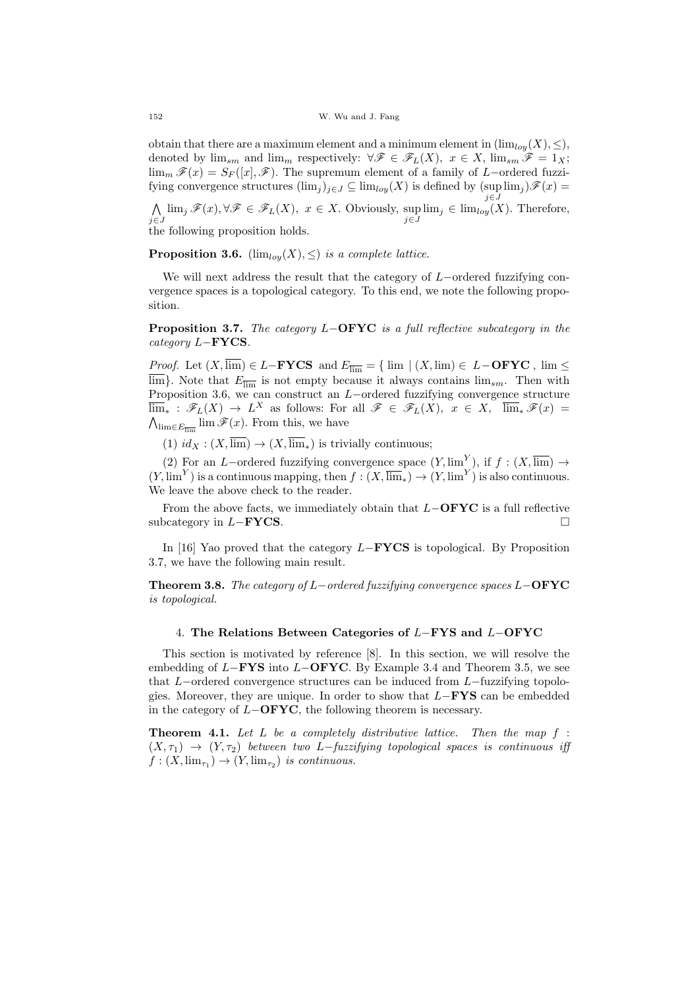obtain that there are a maximum element and a minimum element in  $(\lim_{l\omega} (X), \leq),$ denoted by  $\lim_{sm}$  and  $\lim_{m}$  respectively:  $\forall \mathscr{F} \in \mathscr{F}_L(X)$ ,  $x \in X$ ,  $\lim_{sm} \mathscr{F} = 1_X$ ;  $\lim_{m} \mathscr{F}(x) = S_F([x], \mathscr{F})$ . The supremum element of a family of L−ordered fuzzifying convergence structures  $(\lim_j)_{j\in J}\subseteq \lim_{\log X}(X)$  is defined by  $(\sup \lim_j)\mathscr{F}(x)=$ j∈J

 $\wedge$  $\bigwedge_{j\in J} \lim_j \mathscr{F}(x), \forall \mathscr{F} \in \mathscr{F}_L(X), x \in X$ . Obviously,  $\sup_{j\in J} \lim_{j \in J} \in \lim_{\log(X)} E$ . Therefore, the following proposition holds.

**Proposition 3.6.** ( $\lim_{low}(X), \leq$ ) is a complete lattice.

We will next address the result that the category of L−ordered fuzzifying convergence spaces is a topological category. To this end, we note the following proposition.

**Proposition 3.7.** The category L−OFYC is a full reflective subcategory in the category L−FYCS.

*Proof.* Let  $(X, \overline{\lim}) \in L-\textbf{FYCS}$  and  $E_{\overline{\lim}} = \{ \lim | (X, \lim) \in L-\textbf{OFYC}} , \lim \leq$  $\overline{\lim}$ . Note that  $E_{\overline{\lim}}$  is not empty because it always contains  $\lim_{sm}$ . Then with Proposition 3.6, we can construct an  $L$ -ordered fuzzifying convergence structure  $\overline{\lim}_{*} : \mathscr{F}_L(X) \to L^X$  as follows: For all  $\mathscr{F} \in \mathscr{F}_L(X)$ ,  $x \in X$ ,  $\overline{\lim}_{*} \mathscr{F}(x) =$  $\bigwedge_{\lim \in E_{\overline{\lim}}} \lim \mathscr{F}(x)$ . From this, we have

(1)  $id_X : (X, \overline{\lim}) \to (X, \overline{\lim})$  is trivially continuous;

(2) For an L–ordered fuzzifying convergence space  $(Y, \lim^Y)$ , if  $f : (X, \overline{\lim}) \to$  $(Y, \lim^{Y})$  is a continuous mapping, then  $f : (X, \overline{\lim}_{\ast}) \to (Y, \lim^{Y})$  is also continuous. We leave the above check to the reader.

From the above facts, we immediately obtain that  $L-\text{OFYC}$  is a full reflective subcategory in  $L-\textbf{FYCS}$ .

In [16] Yao proved that the category L−FYCS is topological. By Proposition 3.7, we have the following main result.

Theorem 3.8. The category of L−ordered fuzzifying convergence spaces L−OFYC is topological.

## 4. The Relations Between Categories of L−FYS and L−OFYC

This section is motivated by reference [8]. In this section, we will resolve the embedding of  $L-\text{FYS}$  into  $L-\text{OFYC}$ . By Example 3.4 and Theorem 3.5, we see that L−ordered convergence structures can be induced from L−fuzzifying topologies. Moreover, they are unique. In order to show that  $L-\text{FYS}$  can be embedded in the category of  $L-\text{OFYC}$ , the following theorem is necessary.

**Theorem 4.1.** Let L be a completely distributive lattice. Then the map  $f$ :  $(X, \tau_1) \rightarrow (Y, \tau_2)$  between two L-fuzzifying topological spaces is continuous iff  $f: (X, \lim_{\tau_1}) \to (Y, \lim_{\tau_2})$  is continuous.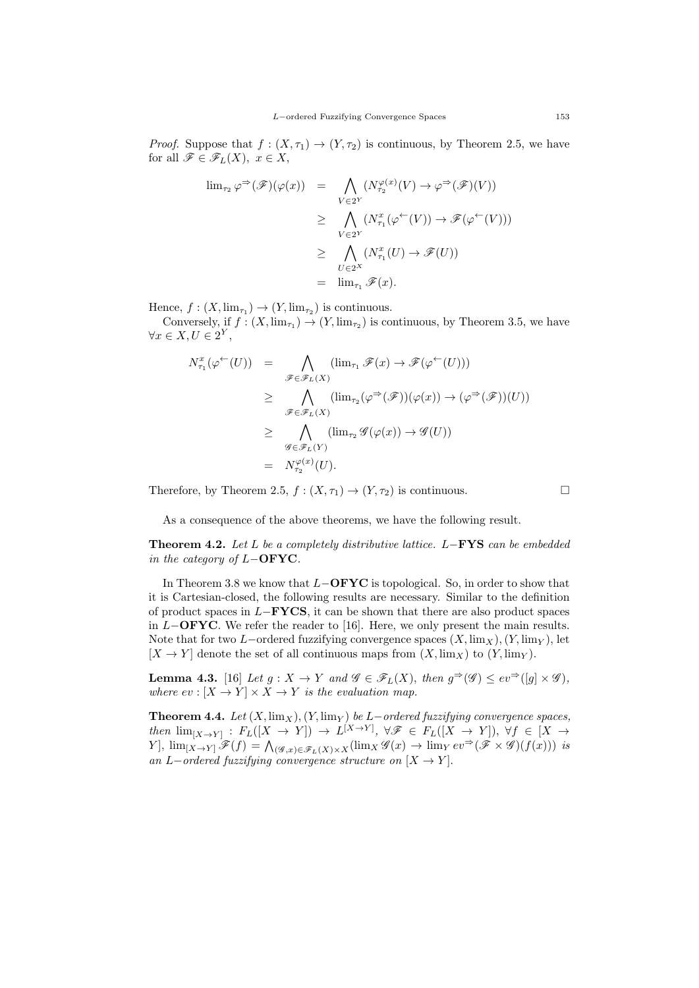*Proof.* Suppose that  $f : (X, \tau_1) \to (Y, \tau_2)$  is continuous, by Theorem 2.5, we have for all  $\mathscr{F} \in \mathscr{F}_L(X)$ ,  $x \in X$ ,

$$
\lim_{\tau_2} \varphi^{\Rightarrow}(\mathscr{F})(\varphi(x)) = \bigwedge_{V \in 2^Y} (N_{\tau_2}^{\varphi(x)}(V) \to \varphi^{\Rightarrow}(\mathscr{F})(V))
$$
  
\n
$$
\geq \bigwedge_{V \in 2^Y} (N_{\tau_1}^x(\varphi^{\leftarrow}(V)) \to \mathscr{F}(\varphi^{\leftarrow}(V)))
$$
  
\n
$$
\geq \bigwedge_{U \in 2^X} (N_{\tau_1}^x(U) \to \mathscr{F}(U))
$$
  
\n
$$
= \lim_{\tau_1} \mathscr{F}(x).
$$

Hence,  $f: (X, \lim_{\tau_1}) \to (Y, \lim_{\tau_2})$  is continuous.

Conversely, if  $f : (X, \lim_{\tau_1}) \to (Y, \lim_{\tau_2})$  is continuous, by Theorem 3.5, we have  $\forall x \in X, U \in 2^Y,$ 

$$
N_{\tau_1}^x(\varphi^{\leftarrow}(U)) = \bigwedge_{\mathscr{F}\in\mathscr{F}_L(X)} (\lim_{\tau_1} \mathscr{F}(x) \to \mathscr{F}(\varphi^{\leftarrow}(U)))
$$
  
\n
$$
\geq \bigwedge_{\mathscr{F}\in\mathscr{F}_L(X)} (\lim_{\tau_2} (\varphi^{\Rightarrow}(\mathscr{F}))(\varphi(x)) \to (\varphi^{\Rightarrow}(\mathscr{F}))(U))
$$
  
\n
$$
\geq \bigwedge_{\mathscr{G}\in\mathscr{F}_L(Y)} (\lim_{\tau_2} \mathscr{G}(\varphi(x)) \to \mathscr{G}(U))
$$
  
\n
$$
= N_{\tau_2}^{\varphi(x)}(U).
$$

Therefore, by Theorem 2.5,  $f : (X, \tau_1) \to (Y, \tau_2)$  is continuous.

As a consequence of the above theorems, we have the following result.

Theorem 4.2. Let L be a completely distributive lattice. L−FYS can be embedded in the category of  $L-\text{OFYC}.$ 

In Theorem 3.8 we know that  $L-\text{OFYC}$  is topological. So, in order to show that it is Cartesian-closed, the following results are necessary. Similar to the definition of product spaces in  $L-\text{FYCS}$ , it can be shown that there are also product spaces in  $L-\text{OFYC}$ . We refer the reader to [16]. Here, we only present the main results. Note that for two L−ordered fuzzifying convergence spaces  $(X, \lim_{X}),(Y, \lim_{Y})$ , let  $[X \to Y]$  denote the set of all continuous maps from  $(X, \text{lim}_X)$  to  $(Y, \text{lim}_Y)$ .

**Lemma 4.3.** [16] Let  $g: X \to Y$  and  $\mathscr{G} \in \mathscr{F}_L(X)$ , then  $g^{\Rightarrow}(\mathscr{G}) \leq ev^{\Rightarrow}([g] \times \mathscr{G})$ , where  $ev : [X \to Y] \times X \to Y$  is the evaluation map.

**Theorem 4.4.** Let  $(X, \lim_X), (Y, \lim_Y)$  be L−ordered fuzzifying convergence spaces, then  $\lim_{[X\to Y]} : F_L([X \to Y]) \to L^{[X\to Y]}, \forall \mathscr{F} \in F_L([X \to Y]), \forall f \in [X \to Y]$  $Y$ ,  $\lim_{[X\to Y]} \mathscr{F}(f) = \bigwedge_{(\mathscr{G},x)\in\mathscr{F}_L(X)\times X} (\lim_{X} \mathscr{G}(x) \to \lim_{Y} ev^{\Rightarrow}(\mathscr{F} \times \mathscr{G})(f(x)))$  is an L−ordered fuzzifying convergence structure on  $[X \to Y]$ .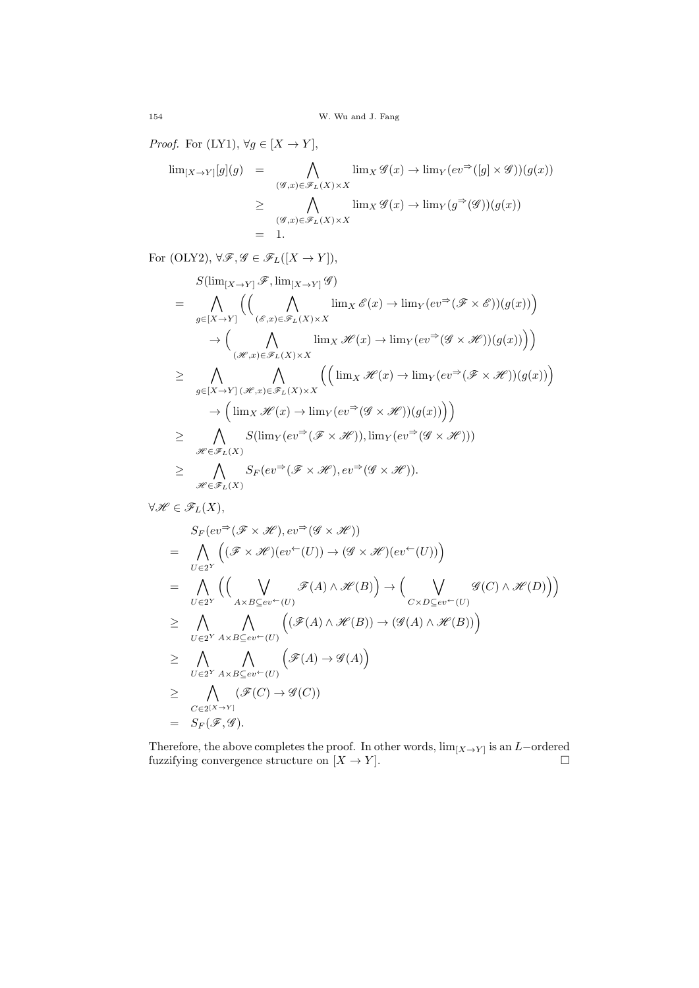*Proof.* For (LY1),  $\forall g \in [X \rightarrow Y]$ ,

$$
\lim_{[X \to Y]} [g](g) = \bigwedge_{(\mathscr{G},x) \in \mathscr{F}_L(X) \times X} \lim_{X} \mathscr{G}(x) \to \lim_{Y} (ev^{\Rightarrow}([g] \times \mathscr{G}))(g(x))
$$
  
\n
$$
\geq \bigwedge_{(\mathscr{G},x) \in \mathscr{F}_L(X) \times X} \lim_{X} \mathscr{G}(x) \to \lim_{Y} (g^{\Rightarrow}(\mathscr{G}))(g(x))
$$
  
\n
$$
= 1.
$$

For (OLY2),  $\forall \mathscr{F}, \mathscr{G} \in \mathscr{F}_L([X \to Y]),$ 

$$
S(\lim_{[X\to Y]}\mathscr{F}, \lim_{[X\to Y]}\mathscr{G})
$$
\n
$$
= \bigwedge_{g\in[X\to Y]} \left( \left( \bigwedge_{(\mathscr{E},x)\in\mathscr{F}_L(X)\times X} \lim_{X}\mathscr{E}(x) \to \lim_{Y} (ev^{\Rightarrow}(\mathscr{F}\times\mathscr{E}))(g(x)) \right) \right)
$$
\n
$$
\to \left( \bigwedge_{(\mathscr{H},x)\in\mathscr{F}_L(X)\times X} \lim_{X}\mathscr{H}(x) \to \lim_{Y} (ev^{\Rightarrow}(\mathscr{G}\times\mathscr{H}))(g(x)) \right) \right)
$$
\n
$$
\geq \bigwedge_{g\in[X\to Y]} \bigwedge_{(\mathscr{H},x)\in\mathscr{F}_L(X)\times X} \left( \left( \lim_{X}\mathscr{H}(x) \to \lim_{Y} (ev^{\Rightarrow}(\mathscr{F}\times\mathscr{H}))(g(x)) \right) \right)
$$
\n
$$
\geq \bigwedge_{\mathscr{H}\in\mathscr{F}_L(X)} S(\lim_{Y} (ev^{\Rightarrow}(\mathscr{F}\times\mathscr{H})), \lim_{Y} (ev^{\Rightarrow}(\mathscr{G}\times\mathscr{H})))
$$
\n
$$
\geq \bigwedge_{\mathscr{H}\in\mathscr{F}_L(X)} S_F (ev^{\Rightarrow}(\mathscr{F}\times\mathscr{H}), ev^{\Rightarrow}(\mathscr{G}\times\mathscr{H})).
$$

$$
\forall \mathscr{H} \in \mathscr{F}_L(X),
$$

$$
S_F(ev^{\Rightarrow}(\mathcal{F} \times \mathcal{H}), ev^{\Rightarrow}(\mathcal{G} \times \mathcal{H}))
$$
\n
$$
= \bigwedge_{U \in 2^Y} ((\mathcal{F} \times \mathcal{H})(ev^{\leftarrow}(U)) \to (\mathcal{G} \times \mathcal{H})(ev^{\leftarrow}(U)))
$$
\n
$$
= \bigwedge_{U \in 2^Y} ((\bigvee_{A \times B \subseteq ev^{\leftarrow}(U)} \mathcal{F}(A) \land \mathcal{H}(B)) \to (\bigvee_{C \times D \subseteq ev^{\leftarrow}(U)} \mathcal{G}(C) \land \mathcal{H}(D)))
$$
\n
$$
\geq \bigwedge_{U \in 2^Y} \bigwedge_{A \times B \subseteq ev^{\leftarrow}(U)} ((\mathcal{F}(A) \land \mathcal{H}(B)) \to (\mathcal{G}(A) \land \mathcal{H}(B)))
$$
\n
$$
\geq \bigwedge_{U \in 2^Y} \bigwedge_{A \times B \subseteq ev^{\leftarrow}(U)} (\mathcal{F}(A) \to \mathcal{G}(A))
$$
\n
$$
\geq \bigwedge_{C \in 2^{[X \to Y]}} (\mathcal{F}(C) \to \mathcal{G}(C))
$$
\n
$$
= S_F(\mathcal{F}, \mathcal{G}).
$$

Therefore, the above completes the proof. In other words,  $\lim_{[X\to Y]}$  is an L-ordered fuzzifying convergence structure on  $[X \to Y]$ .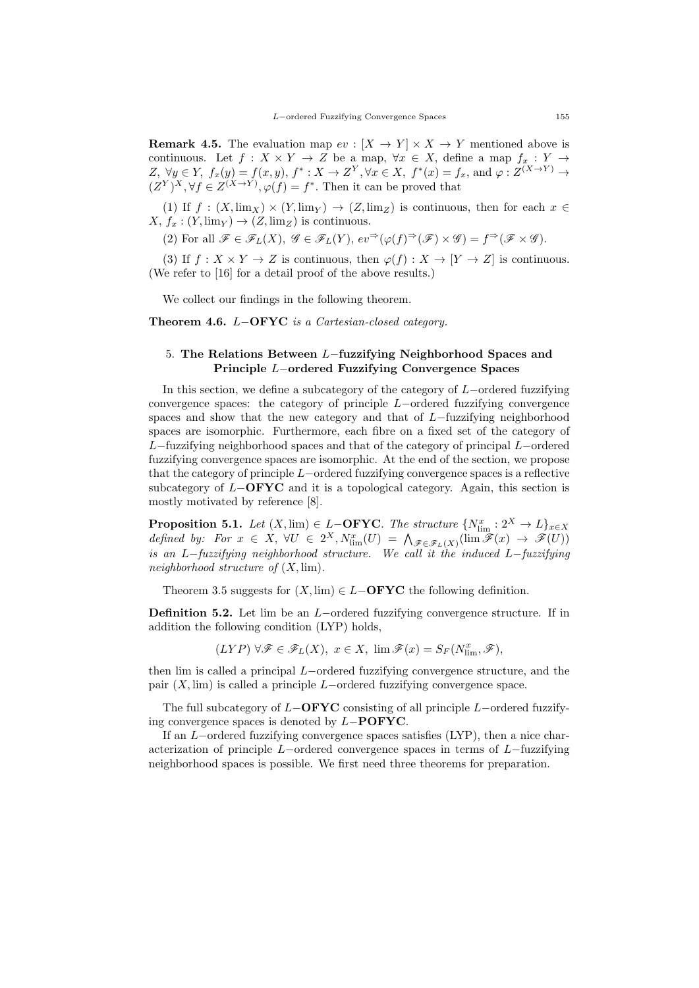**Remark 4.5.** The evaluation map  $ev : [X \rightarrow Y] \times X \rightarrow Y$  mentioned above is continuous. Let  $f: X \times Y \to Z$  be a map,  $\forall x \in X$ , define a map  $f_x: Y \to Y$ Z,  $\forall y \in Y$ ,  $f_x(y) = f(x, y)$ ,  $f^* : X \to Z^Y$ ,  $\forall x \in X$ ,  $f^*(x) = f_x$ , and  $\varphi : Z^{(X \to Y)} \to$  $(Z^Y)^X$ ,  $\forall f \in Z^{(X \to Y)}$ ,  $\varphi(f) = f^*$ . Then it can be proved that

(1) If  $f : (X, \lim_X) \times (Y, \lim_Y) \to (Z, \lim_Z)$  is continuous, then for each  $x \in$  $X, f_x : (Y, \text{lim}_Y) \to (Z, \text{lim}_Z)$  is continuous.

(2) For all  $\mathscr{F} \in \mathscr{F}_L(X)$ ,  $\mathscr{G} \in \mathscr{F}_L(Y)$ ,  $ev^{\Rightarrow}(\varphi(f)^{\Rightarrow}(\mathscr{F}) \times \mathscr{G}) = f^{\Rightarrow}(\mathscr{F} \times \mathscr{G})$ .

(3) If  $f: X \times Y \to Z$  is continuous, then  $\varphi(f): X \to [Y \to Z]$  is continuous. (We refer to [16] for a detail proof of the above results.)

We collect our findings in the following theorem.

Theorem 4.6. L−OFYC is a Cartesian-closed category.

# 5. The Relations Between L−fuzzifying Neighborhood Spaces and Principle L−ordered Fuzzifying Convergence Spaces

In this section, we define a subcategory of the category of L−ordered fuzzifying convergence spaces: the category of principle L−ordered fuzzifying convergence spaces and show that the new category and that of L−fuzzifying neighborhood spaces are isomorphic. Furthermore, each fibre on a fixed set of the category of L−fuzzifying neighborhood spaces and that of the category of principal L−ordered fuzzifying convergence spaces are isomorphic. At the end of the section, we propose that the category of principle L−ordered fuzzifying convergence spaces is a reflective subcategory of  $L-\text{OFYC}$  and it is a topological category. Again, this section is mostly motivated by reference [8].

**Proposition 5.1.** Let  $(X, \lim) \in L$ **-OFYC**. The structure  $\{N_{\lim}^x : 2^X \to L\}_{x \in X}$ defined by: For  $x \in X$ ,  $\forall U \in 2^X$ ,  $N_{\text{lim}}^x(U) = \bigwedge_{\mathscr{F} \in \mathscr{F}_L(X)} (\text{lim } \mathscr{F}(x) \to \mathscr{F}(U))$ is an L−fuzzifying neighborhood structure. We call it the induced L−fuzzifying neighborhood structure of  $(X, \text{lim})$ .

Theorem 3.5 suggests for  $(X, \lim) \in L-\text{OFYC}$  the following definition.

Definition 5.2. Let lim be an L−ordered fuzzifying convergence structure. If in addition the following condition (LYP) holds,

 $(LYP) \,\forall \mathscr{F} \in \mathscr{F}_L(X), \ x \in X, \ \lim \mathscr{F}(x) = S_F(N^x_{\lim}, \mathscr{F}),$ 

then lim is called a principal L−ordered fuzzifying convergence structure, and the pair  $(X, \text{lim})$  is called a principle L−ordered fuzzifying convergence space.

The full subcategory of  $L-\text{OFYC}$  consisting of all principle L−ordered fuzzifying convergence spaces is denoted by L−POFYC.

If an L−ordered fuzzifying convergence spaces satisfies (LYP), then a nice characterization of principle L−ordered convergence spaces in terms of L−fuzzifying neighborhood spaces is possible. We first need three theorems for preparation.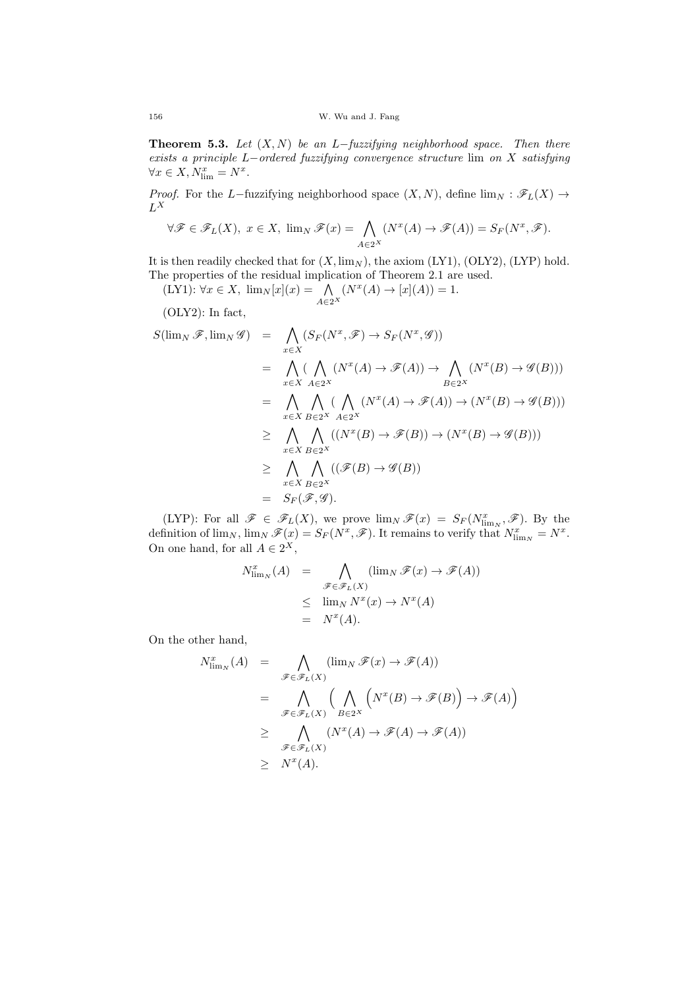**Theorem 5.3.** Let  $(X, N)$  be an L−fuzzifying neighborhood space. Then there exists a principle L−ordered fuzzifying convergence structure lim on X satisfying  $\forall x \in X, N_{\lim}^x = N^x.$ 

*Proof.* For the L–fuzzifying neighborhood space  $(X, N)$ , define  $\lim_{N} : \mathscr{F}_L(X) \to$  $L^X$ 

$$
\forall \mathscr{F} \in \mathscr{F}_L(X), \ x \in X, \ \lim_N \mathscr{F}(x) = \bigwedge_{A \in 2^X} (N^x(A) \to \mathscr{F}(A)) = S_F(N^x, \mathscr{F}).
$$

It is then readily checked that for  $(X, \lim_N)$ , the axiom  $(LY1)$ ,  $(OLY2)$ ,  $(LYP)$  hold. The properties of the residual implication of Theorem 2.1 are used.

$$
(LY1): \forall x \in X, \ \lim_{N} [x](x) = \bigwedge_{A \in 2^X} (N^x(A) \to [x](A)) = 1.
$$

(OLY2): In fact,

$$
S(\lim_{N} \mathscr{F}, \lim_{N} \mathscr{G}) = \bigwedge_{x \in X} (S_{F}(N^{x}, \mathscr{F}) \to S_{F}(N^{x}, \mathscr{G}))
$$
  
\n
$$
= \bigwedge_{x \in X} (\bigwedge_{A \in 2^{X}} (N^{x}(A) \to \mathscr{F}(A)) \to \bigwedge_{B \in 2^{X}} (N^{x}(B) \to \mathscr{G}(B)))
$$
  
\n
$$
= \bigwedge_{x \in X} \bigwedge_{B \in 2^{X}} (\bigwedge_{A \in 2^{X}} (N^{x}(A) \to \mathscr{F}(A)) \to (N^{x}(B) \to \mathscr{G}(B)))
$$
  
\n
$$
\geq \bigwedge_{x \in X} \bigwedge_{B \in 2^{X}} ((N^{x}(B) \to \mathscr{F}(B)) \to (N^{x}(B) \to \mathscr{G}(B)))
$$
  
\n
$$
\geq \bigwedge_{x \in X} \bigwedge_{B \in 2^{X}} ((\mathscr{F}(B) \to \mathscr{G}(B))
$$
  
\n
$$
= S_{F}(\mathscr{F}, \mathscr{G}).
$$

(LYP): For all  $\mathscr{F} \in \mathscr{F}_L(X)$ , we prove  $\lim_N \mathscr{F}(x) = S_F(N^x_{\lim_N}, \mathscr{F})$ . By the definition of  $\lim_N$ ,  $\lim_N \mathscr{F}(x) = S_F(N^x, \mathscr{F})$ . It remains to verify that  $N^x_{\lim_N} = N^x$ . On one hand, for all  $A \in 2^X$ ,

$$
N_{\lim_{N}}^{x}(A) = \bigwedge_{\mathscr{F}\in\mathscr{F}_{L}(X)} (\lim_{N} \mathscr{F}(x) \to \mathscr{F}(A))
$$
  

$$
\leq \lim_{N} N^{x}(x) \to N^{x}(A)
$$
  

$$
= N^{x}(A).
$$

On the other hand,

$$
N_{\lim_{N}}^{x}(A) = \bigwedge_{\mathscr{F}\in\mathscr{F}_{L}(X)} (\lim_{N} \mathscr{F}(x) \to \mathscr{F}(A))
$$
  
\n
$$
= \bigwedge_{\mathscr{F}\in\mathscr{F}_{L}(X)} (\bigwedge_{B\in 2^{X}} \left( N^{x}(B) \to \mathscr{F}(B) \right) \to \mathscr{F}(A))
$$
  
\n
$$
\geq \bigwedge_{\mathscr{F}\in\mathscr{F}_{L}(X)} (N^{x}(A) \to \mathscr{F}(A) \to \mathscr{F}(A))
$$
  
\n
$$
\geq N^{x}(A).
$$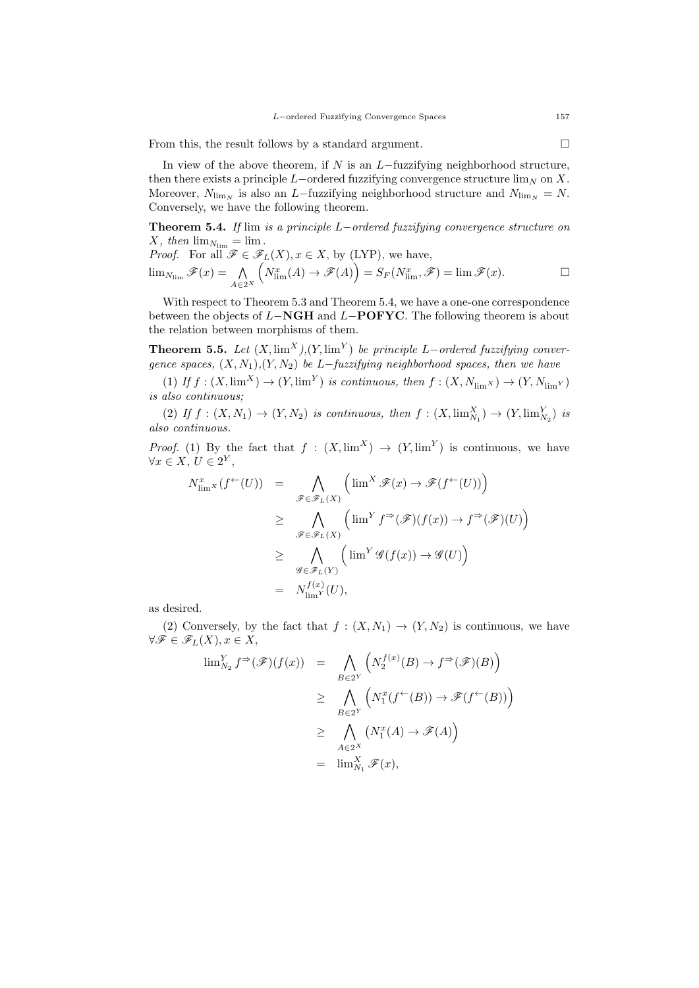From this, the result follows by a standard argument.

In view of the above theorem, if  $N$  is an  $L$ −fuzzifying neighborhood structure, then there exists a principle  $L$ -ordered fuzzifying convergence structure  $\lim_{N}$  on X. Moreover,  $N_{\lim N}$  is also an L−fuzzifying neighborhood structure and  $N_{\lim N} = N$ . Conversely, we have the following theorem.

Theorem 5.4. If lim is a principle L−ordered fuzzifying convergence structure on X, then  $\lim_{N_{\text{lim}}} = \lim$ .

*Proof.* For all 
$$
\mathscr{F} \in \mathscr{F}_L(X)
$$
,  $x \in X$ , by (LYP), we have,  

$$
\lim_{N_{\lim}} \mathscr{F}(x) = \bigwedge_{A \in 2^X} \left( N_{\lim}^x(A) \to \mathscr{F}(A) \right) = S_F(N_{\lim}^x, \mathscr{F}) = \lim \mathscr{F}(x).
$$

With respect to Theorem 5.3 and Theorem 5.4, we have a one-one correspondence between the objects of  $L-\mathbf{NGH}$  and  $L-\mathbf{POFYC}$ . The following theorem is about the relation between morphisms of them.

**Theorem 5.5.** Let  $(X, \lim^X)$ ,  $(Y, \lim^Y)$  be principle L–ordered fuzzifying convergence spaces,  $(X, N_1), (Y, N_2)$  be L-fuzzifying neighborhood spaces, then we have

(1) If  $f: (X, \text{lim}^X) \to (Y, \text{lim}^Y)$  is continuous, then  $f: (X, N_{\text{lim}}) \to (Y, N_{\text{lim}Y})$ is also continuous;

(2) If  $f: (X, N_1) \to (Y, N_2)$  is continuous, then  $f: (X, \lim_{N_1}^X) \to (Y, \lim_{N_2}^Y)$  is also continuous.

*Proof.* (1) By the fact that  $f : (X, \lim^X) \to (Y, \lim^Y)$  is continuous, we have  $\forall x \in X, U \in 2^Y,$ 

$$
N_{\lim}^x (f^{\leftarrow}(U)) = \bigwedge_{\mathscr{F} \in \mathscr{F}_L(X)} \left( \lim^X \mathscr{F}(x) \to \mathscr{F}(f^{\leftarrow}(U)) \right) \n\geq \bigwedge_{\mathscr{F} \in \mathscr{F}_L(X)} \left( \lim^Y f^{\Rightarrow}(\mathscr{F})(f(x)) \to f^{\Rightarrow}(\mathscr{F})(U) \right) \n\geq \bigwedge_{\mathscr{G} \in \mathscr{F}_L(Y)} \left( \lim^Y \mathscr{G}(f(x)) \to \mathscr{G}(U) \right) \n= N_{\lim}^{f(x)}(U),
$$

as desired.

(2) Conversely, by the fact that  $f : (X, N_1) \to (Y, N_2)$  is continuous, we have  $\forall \mathscr{F} \in \mathscr{F}_L(X), x \in X,$  $f(x)$ 

$$
\lim_{N_2} Y^{\Rightarrow}(\mathscr{F})(f(x)) = \bigwedge_{B \in 2^Y} \left( N_2^{f(x)}(B) \to f^{\Rightarrow}(\mathscr{F})(B) \right)
$$
  
\n
$$
\geq \bigwedge_{B \in 2^Y} \left( N_1^x(f^{\leftarrow}(B)) \to \mathscr{F}(f^{\leftarrow}(B)) \right)
$$
  
\n
$$
\geq \bigwedge_{A \in 2^X} \left( N_1^x(A) \to \mathscr{F}(A) \right)
$$
  
\n
$$
= \lim_{N_1}^X \mathscr{F}(x),
$$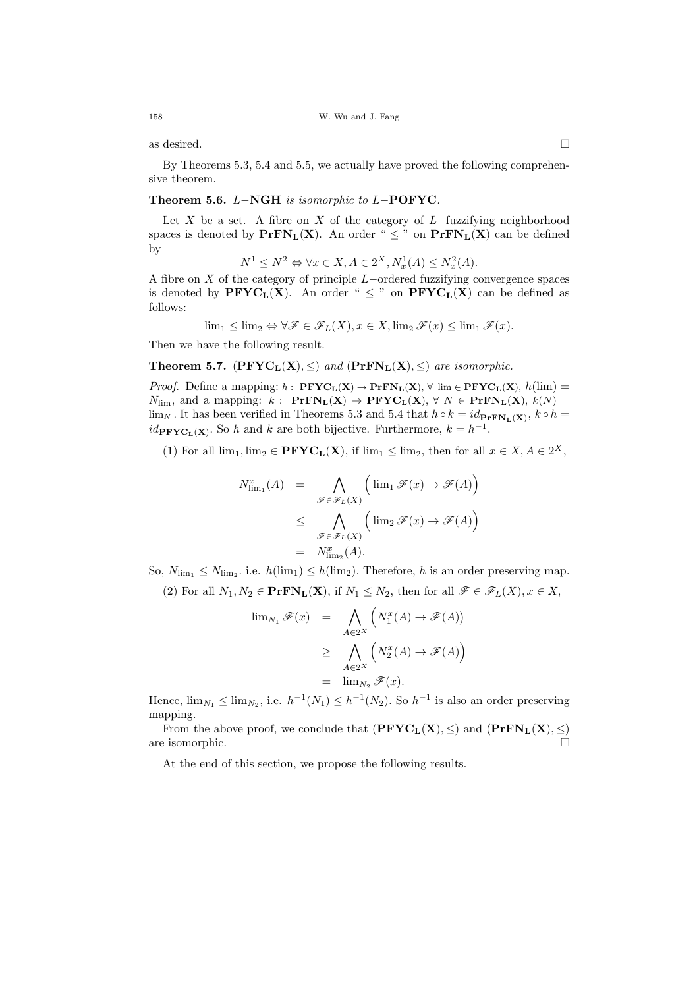as desired.  $\Box$ 

By Theorems 5.3, 5.4 and 5.5, we actually have proved the following comprehensive theorem.

## Theorem 5.6. L−NGH is isomorphic to L−POFYC.

Let X be a set. A fibre on X of the category of  $L$ -fuzzifying neighborhood spaces is denoted by  $\text{PrFN}_L(X)$ . An order "  $\leq$  " on  $\text{PrFN}_L(X)$  can be defined by

$$
N^1 \le N^2 \Leftrightarrow \forall x \in X, A \in 2^X, N_x^1(A) \le N_x^2(A).
$$

A fibre on X of the category of principle L−ordered fuzzifying convergence spaces is denoted by  $PFYC_L(X)$ . An order "  $\leq$  " on  $PFYC_L(X)$  can be defined as follows:

$$
\lim_{1} \leq \lim_{2} \Leftrightarrow \forall \mathscr{F} \in \mathscr{F}_L(X), x \in X, \lim_{2} \mathscr{F}(x) \leq \lim_{1} \mathscr{F}(x).
$$

Then we have the following result.

**Theorem 5.7.** ( $PFYC<sub>L</sub>(X), \leq$ ) and ( $PrfN<sub>L</sub>(X), \leq$ ) are isomorphic.

*Proof.* Define a mapping:  $h$  :  $\mathbf{PFYC_L(X)} \rightarrow \mathbf{PrFN_L(X)}$ ,  $\forall \lim_{n \to \infty} \mathbf{PFYC_L(X)}$ ,  $h(\lim_{n \to \infty} \mathbf{PFFG_L(X)})$  $N_{\text{lim}}$ , and a mapping:  $k: \text{PrFN}_{\text{L}}(\textbf{X}) \rightarrow \text{PFYC}_{\text{L}}(\textbf{X}), \forall N \in \text{PrFN}_{\text{L}}(\textbf{X}), k(N) =$  $\lim_{N}$ . It has been verified in Theorems 5.3 and 5.4 that  $h \circ k = id_{\mathbf{PrFN_L(X)}}$ ,  $k \circ h =$  $id_{\textbf{PFTC}_{\textbf{L}}(\textbf{X})}$ . So h and k are both bijective. Furthermore,  $k = h^{-1}$ .

(1) For all  $\lim_1, \lim_2 \in \mathbf{PFYC}_L(X)$ , if  $\lim_1 \leq \lim_2$ , then for all  $x \in X, A \in 2^X$ ,

$$
N_{\lim_{1}}^{x}(A) = \bigwedge_{\mathscr{F}\in\mathscr{F}_{L}(X)} (\lim_{1} \mathscr{F}(x) \to \mathscr{F}(A))
$$
  

$$
\leq \bigwedge_{\mathscr{F}\in\mathscr{F}_{L}(X)} (\lim_{2} \mathscr{F}(x) \to \mathscr{F}(A))
$$
  

$$
= N_{\lim_{2}}^{x}(A).
$$

So,  $N_{\text{lim}_1} \leq N_{\text{lim}_2}$ . i.e.  $h(\text{lim}_1) \leq h(\text{lim}_2)$ . Therefore, h is an order preserving map.

(2) For all  $N_1, N_2 \in \mathbf{PrFN_L(X)}$ , if  $N_1 \leq N_2$ , then for all  $\mathscr{F} \in \mathscr{F}_L(X)$ ,  $x \in X$ ,

$$
\lim_{N_1} \mathscr{F}(x) = \bigwedge_{A \in 2^X} \left( N_1^x(A) \to \mathscr{F}(A) \right)
$$
  
\n
$$
\geq \bigwedge_{A \in 2^X} \left( N_2^x(A) \to \mathscr{F}(A) \right)
$$
  
\n
$$
= \lim_{N_2} \mathscr{F}(x).
$$

Hence,  $\lim_{N_1} \leq \lim_{N_2}$ , i.e.  $h^{-1}(N_1) \leq h^{-1}(N_2)$ . So  $h^{-1}$  is also an order preserving mapping.

From the above proof, we conclude that  $(\mathbf{PFYC}_L(X), \leq)$  and  $(\mathbf{PrFN}_L(X), \leq)$ are isomorphic.

At the end of this section, we propose the following results.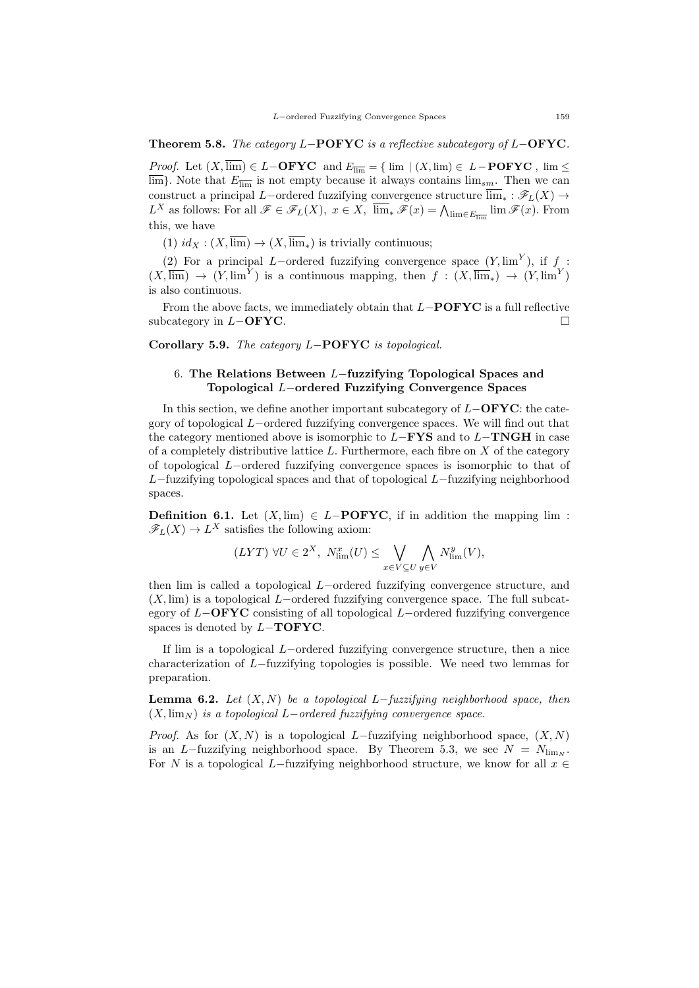Theorem 5.8. The category L−POFYC is a reflective subcategory of L−OFYC.

*Proof.* Let  $(X, \overline{\lim}) \in L-\text{OFYC}$  and  $E_{\overline{\lim}} = \{ \lim | (X, \lim) \in L-\text{POFYC}} , \lim \le$  $\overline{\lim}$ . Note that  $E_{\overline{\lim}}$  is not empty because it always contains  $\lim_{sm}$ . Then we can construct a principal L−ordered fuzzifying convergence structure  $\overline{\lim}_{*} : \mathscr{F}_L(X) \to$  $L^X$  as follows: For all  $\mathscr{F} \in \mathscr{F}_L(X)$ ,  $x \in X$ ,  $\overline{\lim}_* \mathscr{F}(x) = \bigwedge_{\lim \in E_{\overline{\lim}}} \lim \mathscr{F}(x)$ . From this, we have

(1)  $id_X : (X, \overline{\lim}) \to (X, \overline{\lim})$  is trivially continuous;

(2) For a principal L–ordered fuzzifying convergence space  $(Y, \lim^Y)$ , if f:  $(X,\overline{\lim}) \to (Y,\lim^Y)$  is a continuous mapping, then  $f : (X,\overline{\lim}_*) \to (Y,\lim^Y)$ is also continuous.

From the above facts, we immediately obtain that  $L-\text{POFYC}$  is a full reflective subcategory in  $L-\text{OFYC}$ .

Corollary 5.9. The category L−POFYC is topological.

## 6. The Relations Between L−fuzzifying Topological Spaces and Topological L−ordered Fuzzifying Convergence Spaces

In this section, we define another important subcategory of L−OFYC: the category of topological L−ordered fuzzifying convergence spaces. We will find out that the category mentioned above is isomorphic to  $L-\text{FYS}$  and to  $L-\text{TNGH}$  in case of a completely distributive lattice  $L$ . Furthermore, each fibre on  $X$  of the category of topological L−ordered fuzzifying convergence spaces is isomorphic to that of L−fuzzifying topological spaces and that of topological L−fuzzifying neighborhood spaces.

**Definition 6.1.** Let  $(X, \text{lim})$  ∈ L**−POFYC**, if in addition the mapping lim :  $\mathscr{F}_L(X) \to L^X$  satisfies the following axiom:

$$
(LYT) \ \forall U \in 2^{X}, \ N_{\lim}^{x}(U) \leq \bigvee_{x \in V \subseteq U} \bigwedge_{y \in V} N_{\lim}^{y}(V),
$$

then lim is called a topological L−ordered fuzzifying convergence structure, and  $(X, \text{lim})$  is a topological L−ordered fuzzifying convergence space. The full subcategory of  $L-\text{OFYC}$  consisting of all topological  $L-\text{ordered}$  fuzzifying convergence spaces is denoted by L–TOFYC.

If lim is a topological L−ordered fuzzifying convergence structure, then a nice characterization of L−fuzzifying topologies is possible. We need two lemmas for preparation.

**Lemma 6.2.** Let  $(X, N)$  be a topological L-fuzzifying neighborhood space, then  $(X, \lim_{N} )$  is a topological L−ordered fuzzifying convergence space.

*Proof.* As for  $(X, N)$  is a topological L–fuzzifying neighborhood space,  $(X, N)$ is an L−fuzzifying neighborhood space. By Theorem 5.3, we see  $N = N_{\text{lim}}$ . For N is a topological L−fuzzifying neighborhood structure, we know for all  $x \in$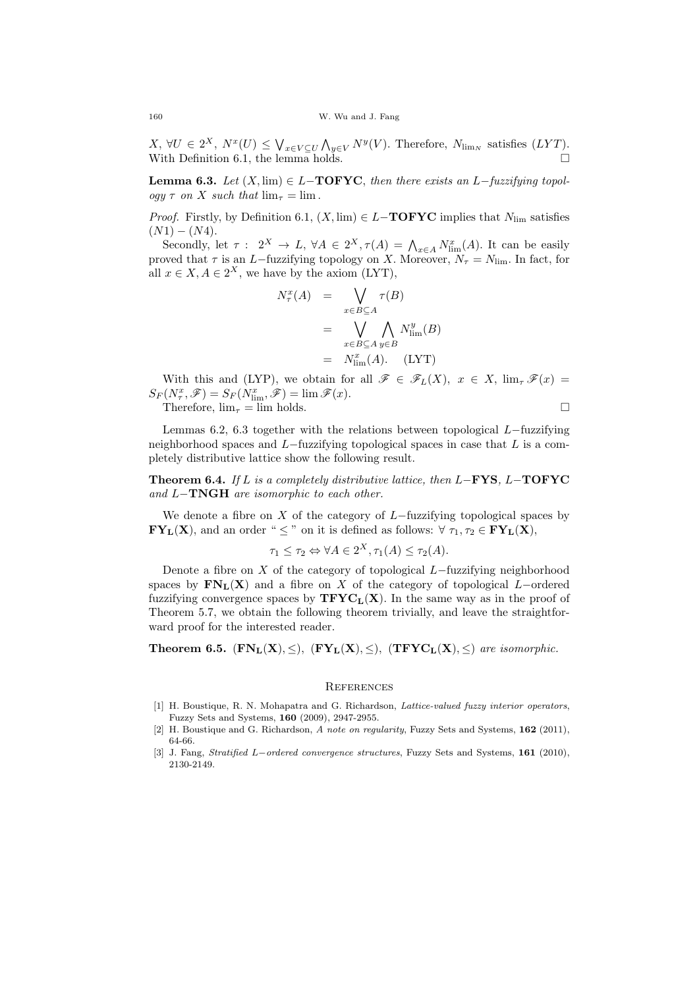$X, \forall U \in 2^X, N^x(U) \leq \bigvee_{x \in V \subseteq U} \bigwedge_{y \in V} N^y(V)$ . Therefore,  $N_{\lim N}$  satisfies  $(LYT)$ . With Definition 6.1, the lemma holds.  $\square$ 

**Lemma 6.3.** Let  $(X, \text{lim}) \in L-\text{TOFYC}$ , then there exists an  $L-\text{fuzzying topol-}$ ogy  $\tau$  on X such that  $\lim_{\tau} = \lim$ .

*Proof.* Firstly, by Definition 6.1,  $(X, \text{lim}) \in L-\text{TOFYC}$  implies that  $N_{\text{lim}}$  satisfies  $(N1) - (N4)$ .

Secondly, let  $\tau: 2^X \to L$ ,  $\forall A \in 2^X$ ,  $\tau(A) = \bigwedge_{x \in A} N^x_{\text{lim}}(A)$ . It can be easily proved that  $\tau$  is an L−fuzzifying topology on X. Moreover,  $N_{\tau} = N_{\text{lim}}$ . In fact, for all  $x \in X, A \in 2^X$ , we have by the axiom (LYT),

$$
N_{\tau}^{x}(A) = \bigvee_{x \in B \subseteq A} \tau(B)
$$
  
= 
$$
\bigvee_{x \in B \subseteq A} \bigwedge_{y \in B} N_{\text{lim}}^{y}(B)
$$
  
= 
$$
N_{\text{lim}}^{x}(A). \quad (\text{LYT})
$$

With this and (LYP), we obtain for all  $\mathscr{F} \in \mathscr{F}_L(X)$ ,  $x \in X$ ,  $\lim_{\tau} \mathscr{F}(x) =$  $S_F(N_\tau^x, \mathscr{F}) = S_F(N_{\lim}^x, \mathscr{F}) = \lim \mathscr{F}(x).$ Therefore,  $\lim_{\tau} = \lim \text{ holds.}$ 

Lemmas 6.2, 6.3 together with the relations between topological  $L$ −fuzzifying neighborhood spaces and L−fuzzifying topological spaces in case that L is a completely distributive lattice show the following result.

Theorem 6.4. If L is a completely distributive lattice, then  $L-\text{FYS}$ ,  $L-\text{TOFYC}$ and L−TNGH are isomorphic to each other.

We denote a fibre on X of the category of  $L$ −fuzzifying topological spaces by  $\mathbf{FY}_\mathbf{L}(\mathbf{X})$ , and an order "  $\leq$  " on it is defined as follows:  $\forall \tau_1, \tau_2 \in \mathbf{FY}_\mathbf{L}(\mathbf{X})$ ,

$$
\tau_1 \le \tau_2 \Leftrightarrow \forall A \in 2^X, \tau_1(A) \le \tau_2(A).
$$

Denote a fibre on  $X$  of the category of topological  $L$ −fuzzifying neighborhood spaces by  $\mathbf{FN}_L(\mathbf{X})$  and a fibre on X of the category of topological L–ordered fuzzifying convergence spaces by  $TFYC<sub>L</sub>(X)$ . In the same way as in the proof of Theorem 5.7, we obtain the following theorem trivially, and leave the straightforward proof for the interested reader.

Theorem 6.5.  $(FN_L(X), \leq), (FY_L(X), \leq), (TFYC_L(X), \leq)$  are isomorphic.

#### **REFERENCES**

- [1] H. Boustique, R. N. Mohapatra and G. Richardson, *Lattice-valued fuzzy interior operators*, Fuzzy Sets and Systems, 160 (2009), 2947-2955.
- [2] H. Boustique and G. Richardson, A note on regularity, Fuzzy Sets and Systems, 162 (2011), 64-66.
- [3] J. Fang, Stratified L−ordered convergence structures, Fuzzy Sets and Systems, 161 (2010), 2130-2149.